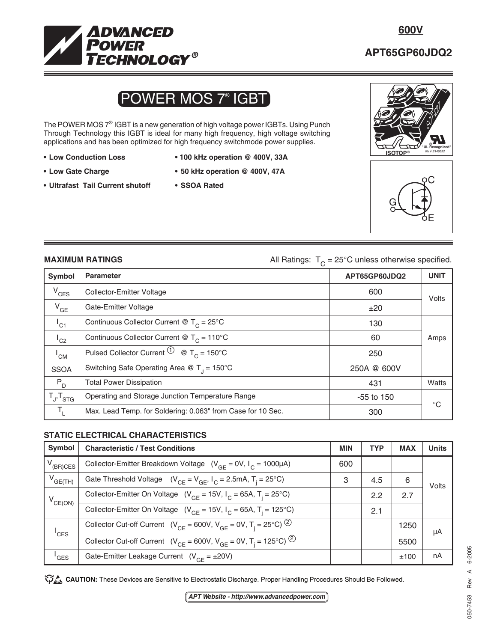

## **APT65GP60JDQ2**

# POWER MOS 7® IGBT

The POWER MOS 7<sup>®</sup> IGBT is a new generation of high voltage power IGBTs. Using Punch Through Technology this IGBT is ideal for many high frequency, high voltage switching applications and has been optimized for high frequency switchmode power supplies.

- 
- 
- **Ultrafast Tail Current shutoff SSOA Rated**
- **Low Conduction Loss 100 kHz operation @ 400V, 33A**
- **Low Gate Charge 50 kHz operation @ 400V, 47A**
	-





**MAXIMUM RATINGS All Ratings:**  $T_c = 25^\circ \text{C}$  unless otherwise specified.

| Symbol                     | <b>Parameter</b>                                                  | APT65GP60JDQ2 | <b>UNIT</b> |
|----------------------------|-------------------------------------------------------------------|---------------|-------------|
| $V_{CES}$                  | Collector-Emitter Voltage                                         | 600           | Volts       |
| $V_{GE}$                   | Gate-Emitter Voltage                                              | ±20           |             |
| $I_{C1}$                   | Continuous Collector Current @ $T_c = 25^{\circ}$ C               | 130           |             |
| $\mathsf{I}_{\mathsf{C2}}$ | Continuous Collector Current @ $T_c = 110^{\circ}$ C              | 60            | Amps        |
| $I_{CM}$                   | Pulsed Collector Current $\overline{10}$ @ T <sub>c</sub> = 150°C | 250           |             |
| <b>SSOA</b>                | Switching Safe Operating Area @ $T_1 = 150^{\circ}$ C             | 250A @ 600V   |             |
| $P_{D}$                    | <b>Total Power Dissipation</b>                                    | 431           | Watts       |
| $T_{J}$ , $T_{STG}$        | Operating and Storage Junction Temperature Range                  | -55 to 150    | $^{\circ}C$ |
| $T_{L}$                    | Max. Lead Temp. for Soldering: 0.063" from Case for 10 Sec.       | 300           |             |

### **STATIC ELECTRICAL CHARACTERISTICS**

| Symbol              | <b>Characteristic / Test Conditions</b>                                                             |     | <b>TYP</b> | <b>MAX</b> | <b>Units</b> |  |
|---------------------|-----------------------------------------------------------------------------------------------------|-----|------------|------------|--------------|--|
| $V_{(BR)CES}$       | Collector-Emitter Breakdown Voltage $(V_{GF} = 0V, I_C = 1000 \mu A)$                               | 600 |            |            |              |  |
| $V_{GE(TH)}$        | Gate Threshold Voltage $(V_{CF} = V_{GF}, I_C = 2.5mA, T_i = 25°C)$                                 | 3   | 4.5        | 6          | Volts        |  |
| $V_{CE(ON)}$        | Collector-Emitter On Voltage ( $V_{GF}$ = 15V, $I_{C}$ = 65A, T <sub>i</sub> = 25°C)                |     | 2.2        | 2.7        |              |  |
|                     | Collector-Emitter On Voltage ( $V_{GF}$ = 15V, $I_{C}$ = 65A, T <sub>i</sub> = 125°C)               |     | 2.1        |            |              |  |
| $^{\mathsf{I}}$ CES | Collector Cut-off Current ( $V_{CF}$ = 600V, $V_{GF}$ = 0V, T <sub>i</sub> = 25°C) <sup>(2)</sup>   |     |            | 1250       | μA           |  |
|                     | Collector Cut-off Current ( $V_{CE} = 600V$ , $V_{GE} = 0V$ , $T_i = 125^{\circ}C$ ) <sup>(2)</sup> |     |            | 5500       |              |  |
| <sup>'</sup> GES    | Gate-Emitter Leakage Current $(V_{GF} = \pm 20V)$                                                   |     |            | ±100       | nA           |  |

CAUTION: These Devices are Sensitive to Electrostatic Discharge. Proper Handling Procedures Should Be Followed.

**APT Website - http://www.advancedpower.com**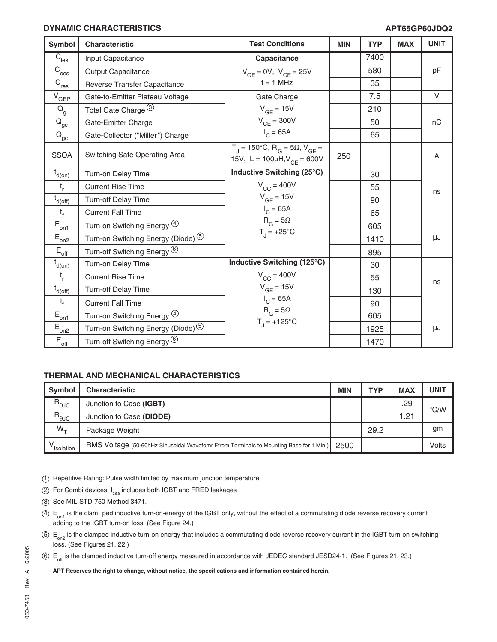#### **DYNAMIC CHARACTERISTICS**

### **APT65GP60JDQ2**

| <b>Symbol</b>                       | Characteristic                                | <b>Test Conditions</b>                                                                                     | <b>MIN</b> | <b>TYP</b> | <b>MAX</b> | <b>UNIT</b> |
|-------------------------------------|-----------------------------------------------|------------------------------------------------------------------------------------------------------------|------------|------------|------------|-------------|
| $\overline{C}_{\rm ies}$            | Input Capacitance                             | Capacitance                                                                                                |            | 7400       |            |             |
| $\overline{C}_{\text{oes}}$         | <b>Output Capacitance</b>                     | $V_{GE} = 0V$ , $V_{CE} = 25V$                                                                             |            | 580        |            | pF          |
| $\overline{C}_{\underline{res}}$    | Reverse Transfer Capacitance                  | $f = 1$ MHz                                                                                                |            | 35         |            |             |
| $V_{GEP}$                           | Gate-to-Emitter Plateau Voltage               | Gate Charge                                                                                                |            | 7.5        |            | $\vee$      |
| $\mathsf{Q}_{\mathsf{g}}$           | Total Gate Charge 3                           | $V_{GF} = 15V$                                                                                             |            | 210        |            |             |
| $\rm \bar{Q}_{\underline{ge}}$      | Gate-Emitter Charge                           | $V_{CE}$ = 300V                                                                                            |            | 50         |            | nC          |
| $\mathsf{Q}_\mathsf{gc}$            | Gate-Collector ("Miller") Charge              | $I_{C} = 65A$                                                                                              |            | 65         |            |             |
| <b>SSOA</b>                         | Switching Safe Operating Area                 | $T_{\rm J}$ = 150°C, R <sub>G</sub> = 5Ω, V <sub>GF</sub> =<br>15V, L = $100\mu$ H, V <sub>CE</sub> = 600V | 250        |            |            | A           |
| $t_{d(0n)}$                         | Turn-on Delay Time                            | Inductive Switching (25°C)                                                                                 |            | 30         |            |             |
| $t_{r}$                             | <b>Current Rise Time</b>                      | $V_{CC}$ = 400V                                                                                            |            | 55         |            | ns          |
| $\overline{t}_{d(\underline{off})}$ | Turn-off Delay Time                           | $V_{GF}$ = 15V                                                                                             |            | 90         |            |             |
| $t_{f}$                             | <b>Current Fall Time</b>                      | $I_C = 65A$                                                                                                |            | 65         |            |             |
| $E_{\underline{on1}}$               | Turn-on Switching Energy 4                    | $R_G = 5\Omega$                                                                                            |            | 605        |            |             |
| $E_{\text{on2}}$                    | Turn-on Switching Energy (Diode) <sup>5</sup> | $T_{1} = +25^{\circ}C$                                                                                     |            | 1410       |            | μJ          |
| $\mathsf{E}_{\mathsf{off}}$         | Turn-off Switching Energy <sup>(6)</sup>      |                                                                                                            |            | 895        |            |             |
| $t_{d(0n)}$                         | Turn-on Delay Time                            | Inductive Switching (125°C)                                                                                |            | 30         |            |             |
| $t_{r}$                             | <b>Current Rise Time</b>                      | $V_{CC}$ = 400V                                                                                            |            | 55         |            | ns          |
| $t_{d(off)}$                        | <b>Turn-off Delay Time</b>                    | $V_{GE}$ = 15V                                                                                             |            | 130        |            |             |
| $t_{f}$                             | <b>Current Fall Time</b>                      | $I_{C} = 65A$                                                                                              |            | 90         |            |             |
| $E_{\underline{on1}}$               | Turn-on Switching Energy 4                    | $R_G = 5\Omega$                                                                                            |            | 605        |            |             |
| $E_{on2}$                           | Turn-on Switching Energy (Diode) <sup>5</sup> | $T_1 = +125$ °C                                                                                            |            | 1925       |            | μJ          |
| $\mathsf{E}_{\mathsf{off}}$         | Turn-off Switching Energy <sup>6</sup>        |                                                                                                            |            | 1470       |            |             |

#### **THERMAL AND MECHANICAL CHARACTERISTICS**

| <b>Symbol</b>  | <b>Characteristic</b>                                                                  | <b>MIN</b> | <b>TYP</b> | <b>MAX</b> | <b>UNIT</b>   |
|----------------|----------------------------------------------------------------------------------------|------------|------------|------------|---------------|
| $R_{\theta$ JC | Junction to Case (IGBT)                                                                |            |            | .29        | $\degree$ C/W |
| $R_{\theta$ JC | Junction to Case (DIODE)                                                               |            |            | 1.21       |               |
| $W_{+}$        | Package Weight                                                                         |            | 29.2       |            | gm            |
| Isolation      | RMS Voltage (50-60hHz Sinusoidal Wavefomr Ffrom Terminals to Mounting Base for 1 Min.) | 2500       |            |            | Volts         |

1 Repetitive Rating: Pulse width limited by maximum junction temperature.

2 For Combi devices, I<sub>ces</sub> includes both IGBT and FRED leakages

- 3 See MIL-STD-750 Method 3471.
- $4.4$  E<sub>on1</sub> is the clam ped inductive turn-on-energy of the IGBT only, without the effect of a commutating diode reverse recovery current adding to the IGBT turn-on loss. (See Figure 24.)
- $5 E_{\text{on}}$  is the clamped inductive turn-on energy that includes a commutating diode reverse recovery current in the IGBT turn-on switching loss. (See Figures 21, 22.)

6 E<sub>off</sub> is the clamped inductive turn-off energy measured in accordance with JEDEC standard JESD24-1. (See Figures 21, 23.)

**APT Reserves the right to change, without notice, the specifications and information contained herein.**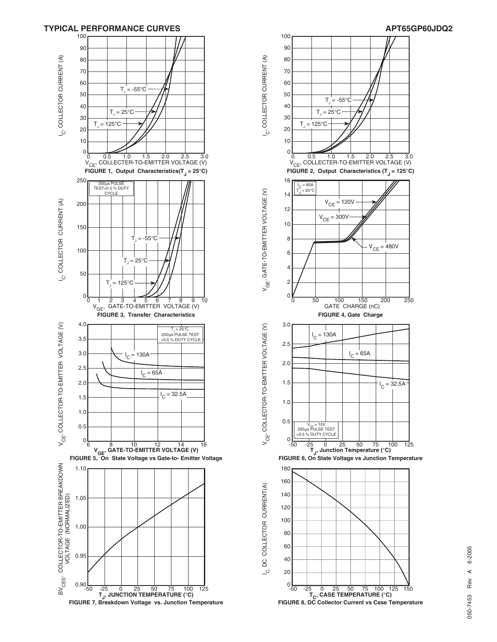



# 6-2005 050-7453 Rev A 6-2005  $\prec$ Rev 050-7453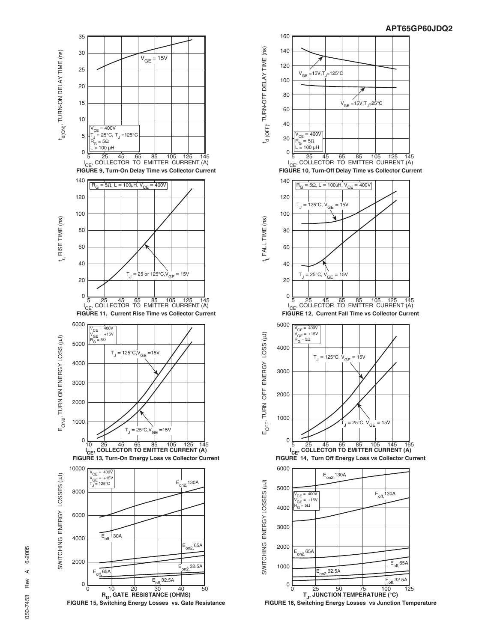

R<sub>G</sub>, GATE RESISTANCE (OHMS)<br>FIGURE 15, Switching Energy Losses vs. Gate Resistance



**FIGURE 16, Switching Energy Losses vs Junction Temperature**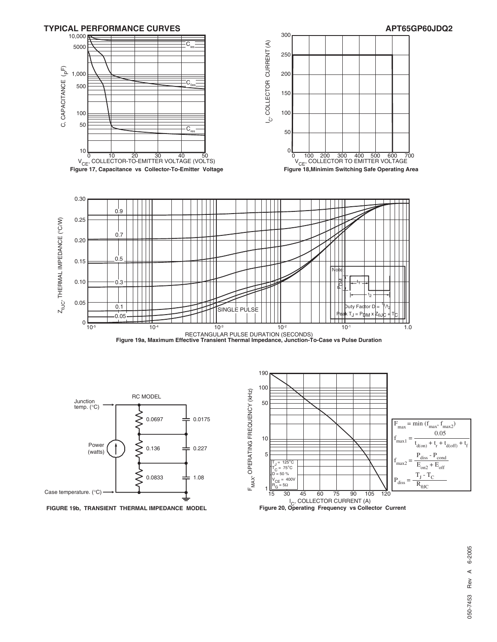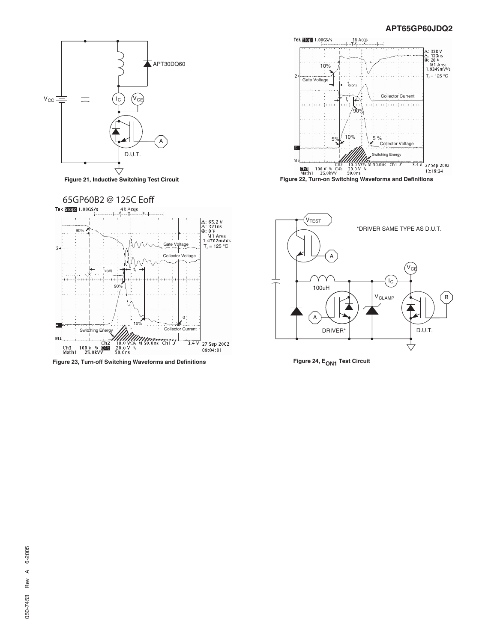#### **APT65GP60JDQ2**





**Figure 23, Turn-off Switching Waveforms and Definitions**





Figure 24, E<sub>ON1</sub> Test Circuit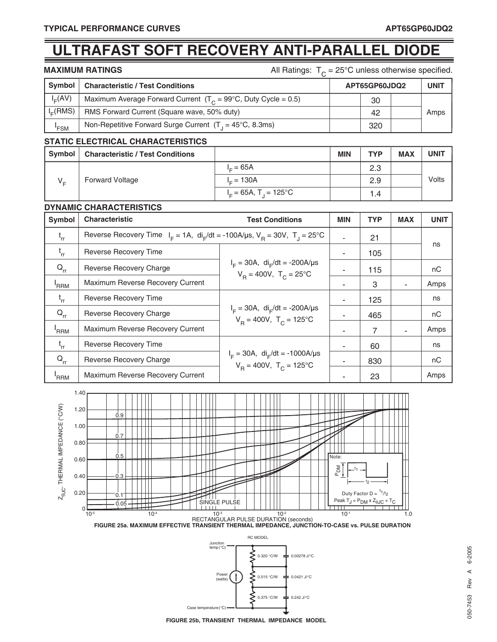# **ULTRAFAST SOFT RECOVERY ANTI-PARALLEL DIODE**

**MAXIMUM RATINGS All Ratings:**  $T_c = 25^\circ \text{C}$  unless otherwise specified.

| Symbol               | <b>Characteristic / Test Conditions</b>                                   | APT65GP60JDQ2 |  | <b>UNIT</b> |
|----------------------|---------------------------------------------------------------------------|---------------|--|-------------|
| $I_E(AV)$            | Maximum Average Forward Current $(T_c = 99^{\circ}C,$ Duty Cycle = 0.5)   | 30            |  |             |
| I <sub>E</sub> (RMS) | RMS Forward Current (Square wave, 50% duty)                               | 42            |  | Amps        |
| 'FSM                 | Non-Repetitive Forward Surge Current $(T_1 = 45^{\circ}C, 8.3 \text{ms})$ | 320           |  |             |

### **STATIC ELECTRICAL CHARACTERISTICS**

| Symbol  | <b>Characteristic / Test Conditions</b> |                                      | <b>MIN</b> | <b>TYP</b> | <b>MAX</b> | <b>UNIT</b> |
|---------|-----------------------------------------|--------------------------------------|------------|------------|------------|-------------|
| $V_{E}$ | <b>Forward Voltage</b>                  | $I = 65A$                            |            | 2.3        |            | Volts       |
|         |                                         | $I = 130A$                           |            | 2.9        |            |             |
|         |                                         | $I_c = 65A$ , T <sub>1</sub> = 125°C |            | 4. ا       |            |             |

#### **DYNAMIC CHARACTERISTICS**

| Symbol           | <b>Characteristic</b>                                                                          | <b>Test Conditions</b>                                                               | <b>MIN</b> | <b>TYP</b> | <b>MAX</b> | <b>UNIT</b> |
|------------------|------------------------------------------------------------------------------------------------|--------------------------------------------------------------------------------------|------------|------------|------------|-------------|
| $t_{rr}$         | Reverse Recovery Time $I_F = 1A$ , $di_F/dt = -100A/\mu s$ , $V_B = 30V$ , $T_A = 25^{\circ}C$ |                                                                                      |            | 21         |            |             |
| $t_{rr}$         | <b>Reverse Recovery Time</b>                                                                   |                                                                                      |            | 105        |            | ns          |
| $Q_{rr}$         | Reverse Recovery Charge                                                                        | $I_F = 30A$ , di <sub>F</sub> /dt = -200A/µs<br>$V_p = 400V$ , $T_c = 25^{\circ}C$   |            | 115        |            | nC          |
| <sup>'</sup> RRM | Maximum Reverse Recovery Current                                                               |                                                                                      |            | 3          |            | Amps        |
| $t_{rr}$         | Reverse Recovery Time                                                                          | $I_F = 30A$ , di <sub>r</sub> /dt = -200A/µs<br>$V_p = 400V$ , $T_c = 125^{\circ}C$  |            | 125        |            | ns          |
| $Q_{rr}$         | Reverse Recovery Charge                                                                        |                                                                                      |            | 465        |            | nC          |
| <sup>'</sup> RRM | Maximum Reverse Recovery Current                                                               |                                                                                      |            | 7          |            | Amps        |
| $t_{rr}$         | Reverse Recovery Time                                                                          | $I_F = 30A$ , di <sub>F</sub> /dt = -1000A/µs<br>$V_B = 400V$ , $T_C = 125^{\circ}C$ |            | 60         |            | ns          |
| $Q_{rr}$         | Reverse Recovery Charge                                                                        |                                                                                      |            | 830        |            | nC          |
| 'RRM             | Maximum Reverse Recovery Current                                                               |                                                                                      |            | 23         |            | Amps        |



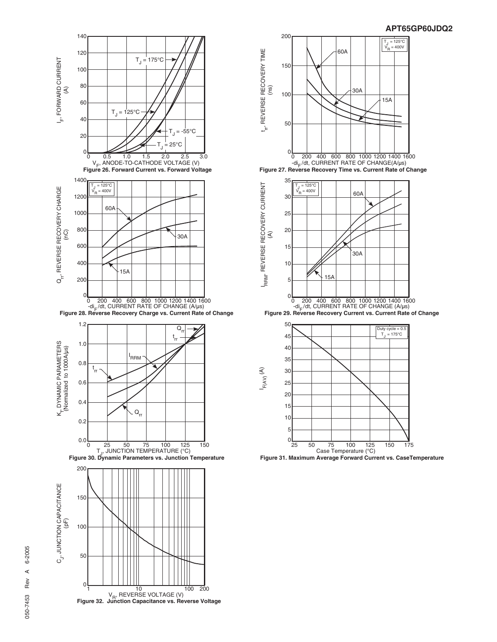



**Figure 31. Maximum Average Forward Current vs. CaseTemperature**